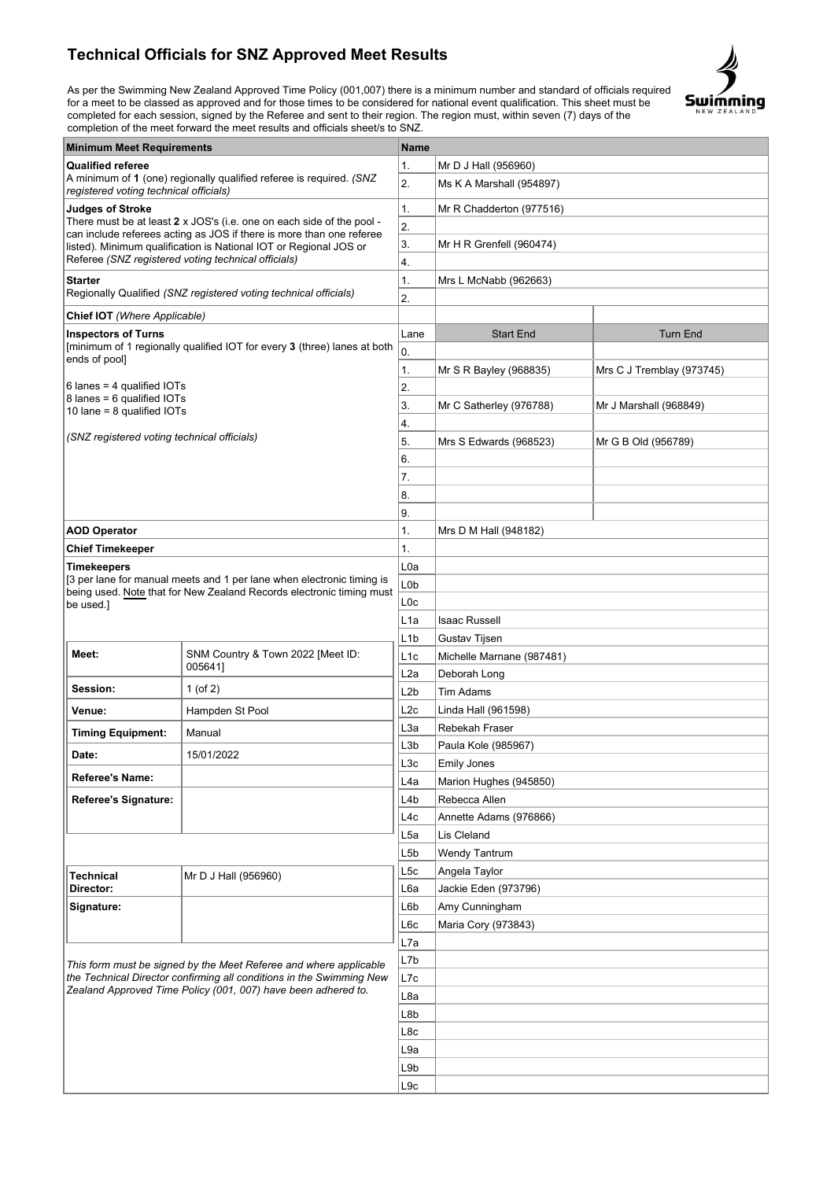## **Technical Officials for SNZ Approved Meet Results**

As per the Swimming New Zealand Approved Time Policy (001,007) there is a minimum number and standard of officials required for a meet to be classed as approved and for those times to be considered for national event qualification. This sheet must be completed for each session, signed by the Referee and sent to their region. The region must, within seven (7) days of the completion of the meet forward the meet results and officials sheet/s to SNZ.



| <b>Minimum Meet Requirements</b>                                                                                                                                                                                                                                                                     |                                                                       |                  | Name                      |                           |  |
|------------------------------------------------------------------------------------------------------------------------------------------------------------------------------------------------------------------------------------------------------------------------------------------------------|-----------------------------------------------------------------------|------------------|---------------------------|---------------------------|--|
| <b>Qualified referee</b>                                                                                                                                                                                                                                                                             |                                                                       |                  | Mr D J Hall (956960)      |                           |  |
| A minimum of 1 (one) regionally qualified referee is required. (SNZ<br>registered voting technical officials)                                                                                                                                                                                        |                                                                       | 2.               | Ms K A Marshall (954897)  |                           |  |
| <b>Judges of Stroke</b><br>There must be at least 2 x JOS's (i.e. one on each side of the pool -<br>can include referees acting as JOS if there is more than one referee<br>listed). Minimum qualification is National IOT or Regional JOS or<br>Referee (SNZ registered voting technical officials) |                                                                       | 1.               | Mr R Chadderton (977516)  |                           |  |
|                                                                                                                                                                                                                                                                                                      |                                                                       | 2.               |                           |                           |  |
|                                                                                                                                                                                                                                                                                                      |                                                                       | 3.               | Mr H R Grenfell (960474)  |                           |  |
|                                                                                                                                                                                                                                                                                                      |                                                                       | 4.               |                           |                           |  |
| <b>Starter</b><br>Regionally Qualified (SNZ registered voting technical officials)                                                                                                                                                                                                                   |                                                                       | 1.               | Mrs L McNabb (962663)     |                           |  |
|                                                                                                                                                                                                                                                                                                      |                                                                       | 2.               |                           |                           |  |
| Chief IOT (Where Applicable)                                                                                                                                                                                                                                                                         |                                                                       |                  |                           |                           |  |
| <b>Inspectors of Turns</b><br>[minimum of 1 regionally qualified IOT for every 3 (three) lanes at both<br>ends of pool]                                                                                                                                                                              |                                                                       | Lane             | <b>Start End</b>          | <b>Turn End</b>           |  |
|                                                                                                                                                                                                                                                                                                      |                                                                       | 0.               |                           |                           |  |
|                                                                                                                                                                                                                                                                                                      |                                                                       | 1.               | Mr S R Bayley (968835)    | Mrs C J Tremblay (973745) |  |
| 6 lanes = 4 qualified $IOTs$                                                                                                                                                                                                                                                                         |                                                                       | 2.               |                           |                           |  |
| 8 lanes = 6 qualified IOTs<br>10 lane = $8$ qualified IOTs                                                                                                                                                                                                                                           |                                                                       | 3.               | Mr C Satherley (976788)   | Mr J Marshall (968849)    |  |
|                                                                                                                                                                                                                                                                                                      |                                                                       | 4.               |                           |                           |  |
| (SNZ registered voting technical officials)                                                                                                                                                                                                                                                          |                                                                       | 5.               | Mrs S Edwards (968523)    | Mr G B Old (956789)       |  |
|                                                                                                                                                                                                                                                                                                      |                                                                       | 6.               |                           |                           |  |
|                                                                                                                                                                                                                                                                                                      |                                                                       | 7.               |                           |                           |  |
|                                                                                                                                                                                                                                                                                                      |                                                                       | 8.               |                           |                           |  |
|                                                                                                                                                                                                                                                                                                      |                                                                       | 9.               |                           |                           |  |
| <b>AOD Operator</b>                                                                                                                                                                                                                                                                                  |                                                                       | 1.               | Mrs D M Hall (948182)     |                           |  |
| <b>Chief Timekeeper</b>                                                                                                                                                                                                                                                                              |                                                                       | 1.               |                           |                           |  |
| <b>Timekeepers</b>                                                                                                                                                                                                                                                                                   |                                                                       | L0a              |                           |                           |  |
|                                                                                                                                                                                                                                                                                                      | [3 per lane for manual meets and 1 per lane when electronic timing is | L <sub>0</sub> b |                           |                           |  |
| be used.]                                                                                                                                                                                                                                                                                            | being used. Note that for New Zealand Records electronic timing must  | L0c              |                           |                           |  |
|                                                                                                                                                                                                                                                                                                      |                                                                       | L <sub>1</sub> a | Isaac Russell             |                           |  |
|                                                                                                                                                                                                                                                                                                      |                                                                       | L <sub>1</sub> b | Gustav Tijsen             |                           |  |
| Meet:                                                                                                                                                                                                                                                                                                | SNM Country & Town 2022 [Meet ID:<br>0056411                          | L1c              | Michelle Marnane (987481) |                           |  |
|                                                                                                                                                                                                                                                                                                      |                                                                       | L2a              | Deborah Long              |                           |  |
| Session:                                                                                                                                                                                                                                                                                             | 1 (of 2)                                                              | L2b              | <b>Tim Adams</b>          |                           |  |
| Venue:                                                                                                                                                                                                                                                                                               | Hampden St Pool                                                       | L2c              | Linda Hall (961598)       |                           |  |
| <b>Timing Equipment:</b>                                                                                                                                                                                                                                                                             | Manual                                                                | L3a              | Rebekah Fraser            |                           |  |
| Date:                                                                                                                                                                                                                                                                                                | 15/01/2022                                                            | L3b              | Paula Kole (985967)       |                           |  |
|                                                                                                                                                                                                                                                                                                      |                                                                       | L <sub>3</sub> c | <b>Emily Jones</b>        |                           |  |
| Referee's Name:                                                                                                                                                                                                                                                                                      |                                                                       | L4a              | Marion Hughes (945850)    |                           |  |
| <b>Referee's Signature:</b>                                                                                                                                                                                                                                                                          |                                                                       | L4b              | Rebecca Allen             |                           |  |
|                                                                                                                                                                                                                                                                                                      |                                                                       |                  | Annette Adams (976866)    |                           |  |
|                                                                                                                                                                                                                                                                                                      |                                                                       | L5a              | Lis Cleland               |                           |  |
|                                                                                                                                                                                                                                                                                                      |                                                                       | L5b              | Wendy Tantrum             |                           |  |
| <b>Technical</b><br>Director:                                                                                                                                                                                                                                                                        | Mr D J Hall (956960)                                                  | L5c              | Angela Taylor             |                           |  |
|                                                                                                                                                                                                                                                                                                      |                                                                       | L6a              | Jackie Eden (973796)      |                           |  |
| Signature:                                                                                                                                                                                                                                                                                           |                                                                       | L6b              | Amy Cunningham            |                           |  |
|                                                                                                                                                                                                                                                                                                      |                                                                       | L6c<br>L7a       | Maria Cory (973843)       |                           |  |
| This form must be signed by the Meet Referee and where applicable<br>the Technical Director confirming all conditions in the Swimming New<br>Zealand Approved Time Policy (001, 007) have been adhered to.                                                                                           |                                                                       |                  |                           |                           |  |
|                                                                                                                                                                                                                                                                                                      |                                                                       |                  |                           |                           |  |
|                                                                                                                                                                                                                                                                                                      |                                                                       |                  |                           |                           |  |
|                                                                                                                                                                                                                                                                                                      |                                                                       | L8a              |                           |                           |  |
|                                                                                                                                                                                                                                                                                                      |                                                                       | L8b              |                           |                           |  |
|                                                                                                                                                                                                                                                                                                      |                                                                       | L8c              |                           |                           |  |
|                                                                                                                                                                                                                                                                                                      |                                                                       | L9a              |                           |                           |  |
|                                                                                                                                                                                                                                                                                                      |                                                                       | L9b              |                           |                           |  |
|                                                                                                                                                                                                                                                                                                      |                                                                       | L9c              |                           |                           |  |